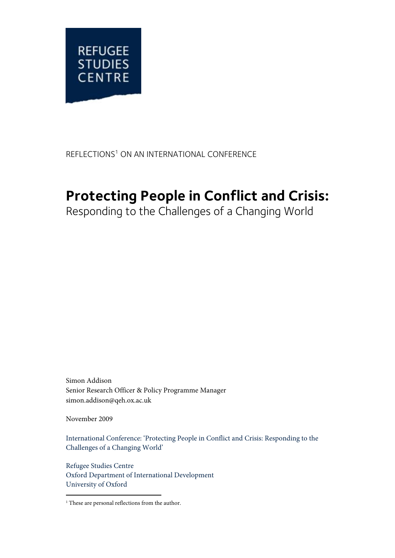

### REFLECTIONS<sup>1</sup> ON AN INTERNATIONAL CONFERENCE

# **Protecting People in Conflict and Crisis:**

Responding to the Challenges of a Changing World

Simon Addison Senior Research Officer & Policy Programme Manager simon.addison@qeh.ox.ac.uk

November 2009

International Conference: 'Protecting People in Conflict and Crisis: Responding to the Challenges of a Changing World'

Refugee Studies Centre Oxford Department of International Development University of Oxford

j <sup>1</sup> These are personal reflections from the author.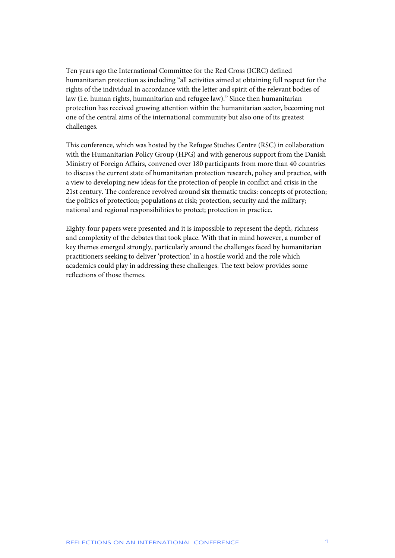Ten years ago the International Committee for the Red Cross (ICRC) defined humanitarian protection as including "all activities aimed at obtaining full respect for the rights of the individual in accordance with the letter and spirit of the relevant bodies of law (i.e. human rights, humanitarian and refugee law)." Since then humanitarian protection has received growing attention within the humanitarian sector, becoming not one of the central aims of the international community but also one of its greatest challenges.

This conference, which was hosted by the Refugee Studies Centre (RSC) in collaboration with the Humanitarian Policy Group (HPG) and with generous support from the Danish Ministry of Foreign Affairs, convened over 180 participants from more than 40 countries to discuss the current state of humanitarian protection research, policy and practice, with a view to developing new ideas for the protection of people in conflict and crisis in the 21st century. The conference revolved around six thematic tracks: concepts of protection; the politics of protection; populations at risk; protection, security and the military; national and regional responsibilities to protect; protection in practice.

Eighty-four papers were presented and it is impossible to represent the depth, richness and complexity of the debates that took place. With that in mind however, a number of key themes emerged strongly, particularly around the challenges faced by humanitarian practitioners seeking to deliver 'protection' in a hostile world and the role which academics could play in addressing these challenges. The text below provides some reflections of those themes.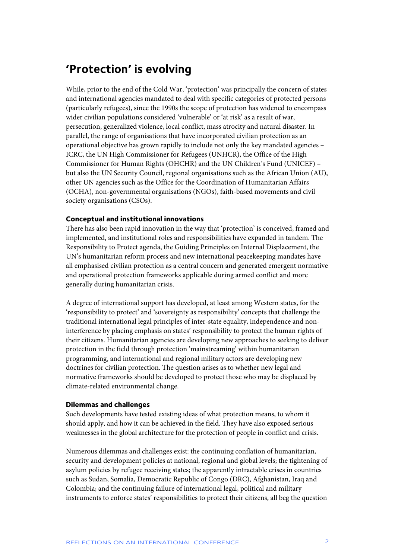### **'Protection' is evolving**

While, prior to the end of the Cold War, 'protection' was principally the concern of states and international agencies mandated to deal with specific categories of protected persons (particularly refugees), since the 1990s the scope of protection has widened to encompass wider civilian populations considered 'vulnerable' or 'at risk' as a result of war, persecution, generalized violence, local conflict, mass atrocity and natural disaster. In parallel, the range of organisations that have incorporated civilian protection as an operational objective has grown rapidly to include not only the key mandated agencies – ICRC, the UN High Commissioner for Refugees (UNHCR), the Office of the High Commissioner for Human Rights (OHCHR) and the UN Children's Fund (UNICEF) – but also the UN Security Council, regional organisations such as the African Union (AU), other UN agencies such as the Office for the Coordination of Humanitarian Affairs (OCHA), non-governmental organisations (NGOs), faith-based movements and civil society organisations (CSOs).

#### **Conceptual and institutional innovations**

There has also been rapid innovation in the way that 'protection' is conceived, framed and implemented, and institutional roles and responsibilities have expanded in tandem. The Responsibility to Protect agenda, the Guiding Principles on Internal Displacement, the UN's humanitarian reform process and new international peacekeeping mandates have all emphasised civilian protection as a central concern and generated emergent normative and operational protection frameworks applicable during armed conflict and more generally during humanitarian crisis.

A degree of international support has developed, at least among Western states, for the 'responsibility to protect' and 'sovereignty as responsibility' concepts that challenge the traditional international legal principles of inter-state equality, independence and noninterference by placing emphasis on states' responsibility to protect the human rights of their citizens. Humanitarian agencies are developing new approaches to seeking to deliver protection in the field through protection 'mainstreaming' within humanitarian programming, and international and regional military actors are developing new doctrines for civilian protection. The question arises as to whether new legal and normative frameworks should be developed to protect those who may be displaced by climate-related environmental change.

#### **Dilemmas and challenges**

Such developments have tested existing ideas of what protection means, to whom it should apply, and how it can be achieved in the field. They have also exposed serious weaknesses in the global architecture for the protection of people in conflict and crisis.

Numerous dilemmas and challenges exist: the continuing conflation of humanitarian, security and development policies at national, regional and global levels; the tightening of asylum policies by refugee receiving states; the apparently intractable crises in countries such as Sudan, Somalia, Democratic Republic of Congo (DRC), Afghanistan, Iraq and Colombia; and the continuing failure of international legal, political and military instruments to enforce states' responsibilities to protect their citizens, all beg the question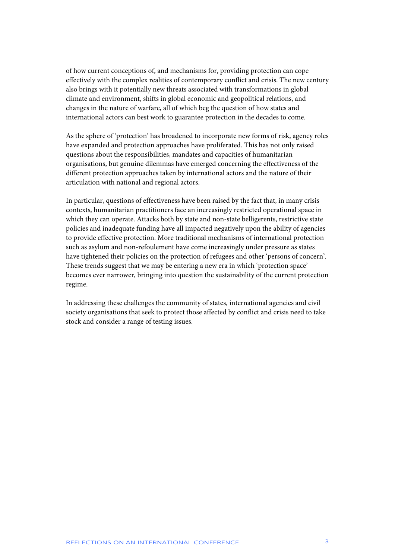of how current conceptions of, and mechanisms for, providing protection can cope effectively with the complex realities of contemporary conflict and crisis. The new century also brings with it potentially new threats associated with transformations in global climate and environment, shifts in global economic and geopolitical relations, and changes in the nature of warfare, all of which beg the question of how states and international actors can best work to guarantee protection in the decades to come.

As the sphere of 'protection' has broadened to incorporate new forms of risk, agency roles have expanded and protection approaches have proliferated. This has not only raised questions about the responsibilities, mandates and capacities of humanitarian organisations, but genuine dilemmas have emerged concerning the effectiveness of the different protection approaches taken by international actors and the nature of their articulation with national and regional actors.

In particular, questions of effectiveness have been raised by the fact that, in many crisis contexts, humanitarian practitioners face an increasingly restricted operational space in which they can operate. Attacks both by state and non-state belligerents, restrictive state policies and inadequate funding have all impacted negatively upon the ability of agencies to provide effective protection. More traditional mechanisms of international protection such as asylum and non-refoulement have come increasingly under pressure as states have tightened their policies on the protection of refugees and other 'persons of concern'. These trends suggest that we may be entering a new era in which 'protection space' becomes ever narrower, bringing into question the sustainability of the current protection regime.

In addressing these challenges the community of states, international agencies and civil society organisations that seek to protect those affected by conflict and crisis need to take stock and consider a range of testing issues.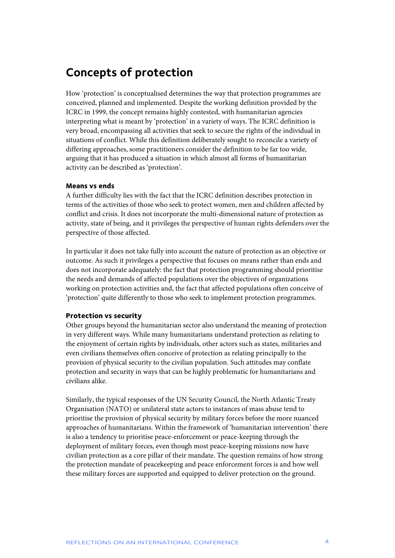### **Concepts of protection**

How 'protection' is conceptualised determines the way that protection programmes are conceived, planned and implemented. Despite the working definition provided by the ICRC in 1999, the concept remains highly contested, with humanitarian agencies interpreting what is meant by 'protection' in a variety of ways. The ICRC definition is very broad, encompassing all activities that seek to secure the rights of the individual in situations of conflict. While this definition deliberately sought to reconcile a variety of differing approaches, some practitioners consider the definition to be far too wide, arguing that it has produced a situation in which almost all forms of humanitarian activity can be described as 'protection'.

### **Means vs ends**

A further difficulty lies with the fact that the ICRC definition describes protection in terms of the activities of those who seek to protect women, men and children affected by conflict and crisis. It does not incorporate the multi-dimensional nature of protection as activity, state of being, and it privileges the perspective of human rights defenders over the perspective of those affected.

In particular it does not take fully into account the nature of protection as an objective or outcome. As such it privileges a perspective that focuses on means rather than ends and does not incorporate adequately: the fact that protection programming should prioritise the needs and demands of affected populations over the objectives of organizations working on protection activities and, the fact that affected populations often conceive of 'protection' quite differently to those who seek to implement protection programmes.

### **Protection vs security**

Other groups beyond the humanitarian sector also understand the meaning of protection in very different ways. While many humanitarians understand protection as relating to the enjoyment of certain rights by individuals, other actors such as states, militaries and even civilians themselves often conceive of protection as relating principally to the provision of physical security to the civilian population. Such attitudes may conflate protection and security in ways that can be highly problematic for humanitarians and civilians alike.

Similarly, the typical responses of the UN Security Council, the North Atlantic Treaty Organisation (NATO) or unilateral state actors to instances of mass abuse tend to prioritise the provision of physical security by military forces before the more nuanced approaches of humanitarians. Within the framework of 'humanitarian intervention' there is also a tendency to prioritise peace-enforcement or peace-keeping through the deployment of military forces, even though most peace-keeping missions now have civilian protection as a core pillar of their mandate. The question remains of how strong the protection mandate of peacekeeping and peace enforcement forces is and how well these military forces are supported and equipped to deliver protection on the ground.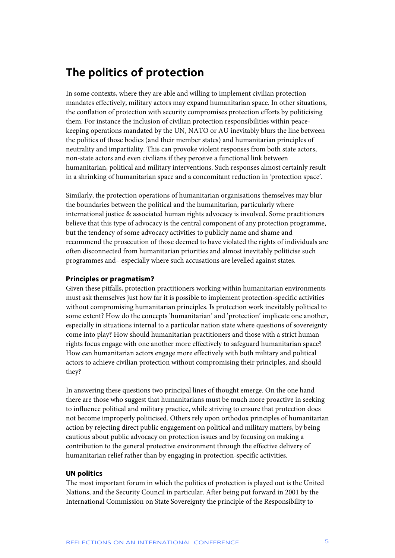### **The politics of protection**

In some contexts, where they are able and willing to implement civilian protection mandates effectively, military actors may expand humanitarian space. In other situations, the conflation of protection with security compromises protection efforts by politicising them. For instance the inclusion of civilian protection responsibilities within peacekeeping operations mandated by the UN, NATO or AU inevitably blurs the line between the politics of those bodies (and their member states) and humanitarian principles of neutrality and impartiality. This can provoke violent responses from both state actors, non-state actors and even civilians if they perceive a functional link between humanitarian, political and military interventions. Such responses almost certainly result in a shrinking of humanitarian space and a concomitant reduction in 'protection space'.

Similarly, the protection operations of humanitarian organisations themselves may blur the boundaries between the political and the humanitarian, particularly where international justice & associated human rights advocacy is involved. Some practitioners believe that this type of advocacy is the central component of any protection programme, but the tendency of some advocacy activities to publicly name and shame and recommend the prosecution of those deemed to have violated the rights of individuals are often disconnected from humanitarian priorities and almost inevitably politicise such programmes and– especially where such accusations are levelled against states.

### **Principles or pragmatism?**

Given these pitfalls, protection practitioners working within humanitarian environments must ask themselves just how far it is possible to implement protection-specific activities without compromising humanitarian principles. Is protection work inevitably political to some extent? How do the concepts 'humanitarian' and 'protection' implicate one another, especially in situations internal to a particular nation state where questions of sovereignty come into play? How should humanitarian practitioners and those with a strict human rights focus engage with one another more effectively to safeguard humanitarian space? How can humanitarian actors engage more effectively with both military and political actors to achieve civilian protection without compromising their principles, and should they?

In answering these questions two principal lines of thought emerge. On the one hand there are those who suggest that humanitarians must be much more proactive in seeking to influence political and military practice, while striving to ensure that protection does not become improperly politicised. Others rely upon orthodox principles of humanitarian action by rejecting direct public engagement on political and military matters, by being cautious about public advocacy on protection issues and by focusing on making a contribution to the general protective environment through the effective delivery of humanitarian relief rather than by engaging in protection-specific activities.

#### **UN politics**

The most important forum in which the politics of protection is played out is the United Nations, and the Security Council in particular. After being put forward in 2001 by the International Commission on State Sovereignty the principle of the Responsibility to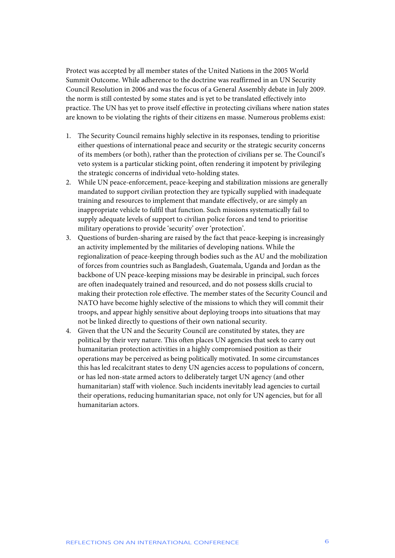Protect was accepted by all member states of the United Nations in the 2005 World Summit Outcome. While adherence to the doctrine was reaffirmed in an UN Security Council Resolution in 2006 and was the focus of a General Assembly debate in July 2009. the norm is still contested by some states and is yet to be translated effectively into practice. The UN has yet to prove itself effective in protecting civilians where nation states are known to be violating the rights of their citizens en masse. Numerous problems exist:

- 1. The Security Council remains highly selective in its responses, tending to prioritise either questions of international peace and security or the strategic security concerns of its members (or both), rather than the protection of civilians per se. The Council's veto system is a particular sticking point, often rendering it impotent by privileging the strategic concerns of individual veto-holding states.
- 2. While UN peace-enforcement, peace-keeping and stabilization missions are generally mandated to support civilian protection they are typically supplied with inadequate training and resources to implement that mandate effectively, or are simply an inappropriate vehicle to fulfil that function. Such missions systematically fail to supply adequate levels of support to civilian police forces and tend to prioritise military operations to provide 'security' over 'protection'.
- 3. Questions of burden-sharing are raised by the fact that peace-keeping is increasingly an activity implemented by the militaries of developing nations. While the regionalization of peace-keeping through bodies such as the AU and the mobilization of forces from countries such as Bangladesh, Guatemala, Uganda and Jordan as the backbone of UN peace-keeping missions may be desirable in principal, such forces are often inadequately trained and resourced, and do not possess skills crucial to making their protection role effective. The member states of the Security Council and NATO have become highly selective of the missions to which they will commit their troops, and appear highly sensitive about deploying troops into situations that may not be linked directly to questions of their own national security.
- 4. Given that the UN and the Security Council are constituted by states, they are political by their very nature. This often places UN agencies that seek to carry out humanitarian protection activities in a highly compromised position as their operations may be perceived as being politically motivated. In some circumstances this has led recalcitrant states to deny UN agencies access to populations of concern, or has led non-state armed actors to deliberately target UN agency (and other humanitarian) staff with violence. Such incidents inevitably lead agencies to curtail their operations, reducing humanitarian space, not only for UN agencies, but for all humanitarian actors.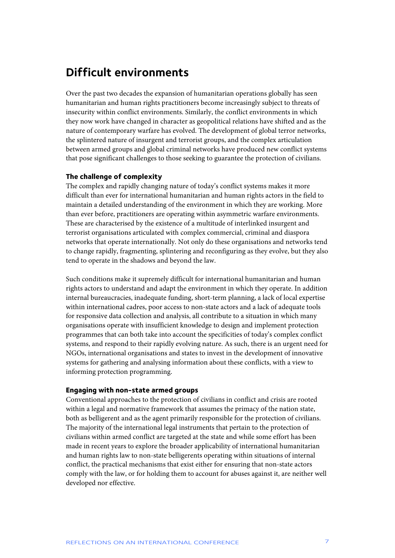### **Difficult environments**

Over the past two decades the expansion of humanitarian operations globally has seen humanitarian and human rights practitioners become increasingly subject to threats of insecurity within conflict environments. Similarly, the conflict environments in which they now work have changed in character as geopolitical relations have shifted and as the nature of contemporary warfare has evolved. The development of global terror networks, the splintered nature of insurgent and terrorist groups, and the complex articulation between armed groups and global criminal networks have produced new conflict systems that pose significant challenges to those seeking to guarantee the protection of civilians.

#### **The challenge of complexity**

The complex and rapidly changing nature of today's conflict systems makes it more difficult than ever for international humanitarian and human rights actors in the field to maintain a detailed understanding of the environment in which they are working. More than ever before, practitioners are operating within asymmetric warfare environments. These are characterised by the existence of a multitude of interlinked insurgent and terrorist organisations articulated with complex commercial, criminal and diaspora networks that operate internationally. Not only do these organisations and networks tend to change rapidly, fragmenting, splintering and reconfiguring as they evolve, but they also tend to operate in the shadows and beyond the law.

Such conditions make it supremely difficult for international humanitarian and human rights actors to understand and adapt the environment in which they operate. In addition internal bureaucracies, inadequate funding, short-term planning, a lack of local expertise within international cadres, poor access to non-state actors and a lack of adequate tools for responsive data collection and analysis, all contribute to a situation in which many organisations operate with insufficient knowledge to design and implement protection programmes that can both take into account the specificities of today's complex conflict systems, and respond to their rapidly evolving nature. As such, there is an urgent need for NGOs, international organisations and states to invest in the development of innovative systems for gathering and analysing information about these conflicts, with a view to informing protection programming.

#### **Engaging with non-state armed groups**

Conventional approaches to the protection of civilians in conflict and crisis are rooted within a legal and normative framework that assumes the primacy of the nation state, both as belligerent and as the agent primarily responsible for the protection of civilians. The majority of the international legal instruments that pertain to the protection of civilians within armed conflict are targeted at the state and while some effort has been made in recent years to explore the broader applicability of international humanitarian and human rights law to non-state belligerents operating within situations of internal conflict, the practical mechanisms that exist either for ensuring that non-state actors comply with the law, or for holding them to account for abuses against it, are neither well developed nor effective.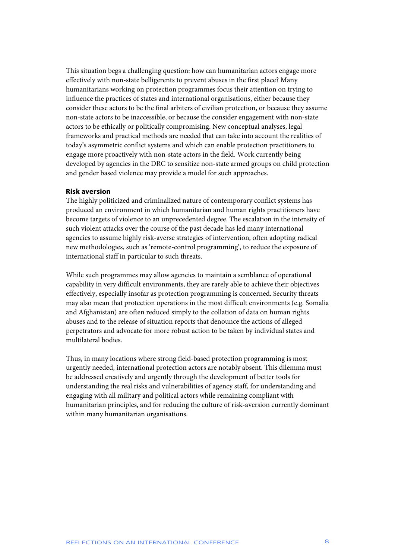This situation begs a challenging question: how can humanitarian actors engage more effectively with non-state belligerents to prevent abuses in the first place? Many humanitarians working on protection programmes focus their attention on trying to influence the practices of states and international organisations, either because they consider these actors to be the final arbiters of civilian protection, or because they assume non-state actors to be inaccessible, or because the consider engagement with non-state actors to be ethically or politically compromising. New conceptual analyses, legal frameworks and practical methods are needed that can take into account the realities of today's asymmetric conflict systems and which can enable protection practitioners to engage more proactively with non-state actors in the field. Work currently being developed by agencies in the DRC to sensitize non-state armed groups on child protection and gender based violence may provide a model for such approaches.

#### **Risk aversion**

The highly politicized and criminalized nature of contemporary conflict systems has produced an environment in which humanitarian and human rights practitioners have become targets of violence to an unprecedented degree. The escalation in the intensity of such violent attacks over the course of the past decade has led many international agencies to assume highly risk-averse strategies of intervention, often adopting radical new methodologies, such as 'remote-control programming', to reduce the exposure of international staff in particular to such threats.

While such programmes may allow agencies to maintain a semblance of operational capability in very difficult environments, they are rarely able to achieve their objectives effectively, especially insofar as protection programming is concerned. Security threats may also mean that protection operations in the most difficult environments (e.g. Somalia and Afghanistan) are often reduced simply to the collation of data on human rights abuses and to the release of situation reports that denounce the actions of alleged perpetrators and advocate for more robust action to be taken by individual states and multilateral bodies.

Thus, in many locations where strong field-based protection programming is most urgently needed, international protection actors are notably absent. This dilemma must be addressed creatively and urgently through the development of better tools for understanding the real risks and vulnerabilities of agency staff, for understanding and engaging with all military and political actors while remaining compliant with humanitarian principles, and for reducing the culture of risk-aversion currently dominant within many humanitarian organisations.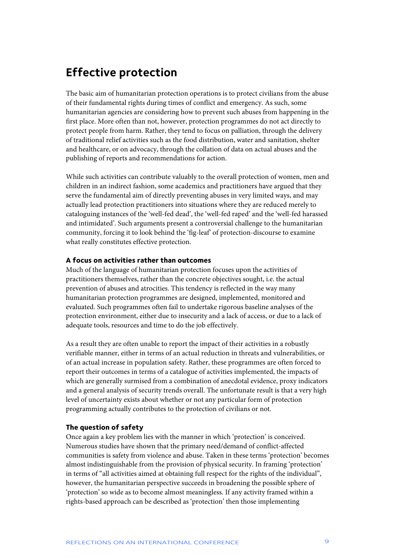### **Effective protection**

The basic aim of humanitarian protection operations is to protect civilians from the abuse of their fundamental rights during times of conflict and emergency. As such, some humanitarian agencies are considering how to prevent such abuses from happening in the first place. More often than not, however, protection programmes do not act directly to protect people from harm. Rather, they tend to focus on palliation, through the delivery of traditional relief activities such as the food distribution, water and sanitation, shelter and healthcare, or on advocacy, through the collation of data on actual abuses and the publishing of reports and recommendations for action.

While such activities can contribute valuably to the overall protection of women, men and children in an indirect fashion, some academics and practitioners have argued that they serve the fundamental aim of directly preventing abuses in very limited ways, and may actually lead protection practitioners into situations where they are reduced merely to cataloguing instances of the 'well-fed dead', the 'well-fed raped' and the 'well-fed harassed and intimidated'. Such arguments present a controversial challenge to the humanitarian community, forcing it to look behind the 'fig-leaf' of protection-discourse to examine what really constitutes effective protection.

### **A focus on activities rather than outcomes**

Much of the language of humanitarian protection focuses upon the activities of practitioners themselves, rather than the concrete objectives sought, i.e. the actual prevention of abuses and atrocities. This tendency is reflected in the way many humanitarian protection programmes are designed, implemented, monitored and evaluated. Such programmes often fail to undertake rigorous baseline analyses of the protection environment, either due to insecurity and a lack of access, or due to a lack of adequate tools, resources and time to do the job effectively.

As a result they are often unable to report the impact of their activities in a robustly verifiable manner, either in terms of an actual reduction in threats and vulnerabilities, or of an actual increase in population safety. Rather, these programmes are often forced to report their outcomes in terms of a catalogue of activities implemented, the impacts of which are generally surmised from a combination of anecdotal evidence, proxy indicators and a general analysis of security trends overall. The unfortunate result is that a very high level of uncertainty exists about whether or not any particular form of protection programming actually contributes to the protection of civilians or not.

### **The question of safety**

Once again a key problem lies with the manner in which 'protection' is conceived. Numerous studies have shown that the primary need/demand of conflict-affected communities is safety from violence and abuse. Taken in these terms 'protection' becomes almost indistinguishable from the provision of physical security. In framing 'protection' in terms of "all activities aimed at obtaining full respect for the rights of the individual", however, the humanitarian perspective succeeds in broadening the possible sphere of 'protection' so wide as to become almost meaningless. If any activity framed within a rights-based approach can be described as 'protection' then those implementing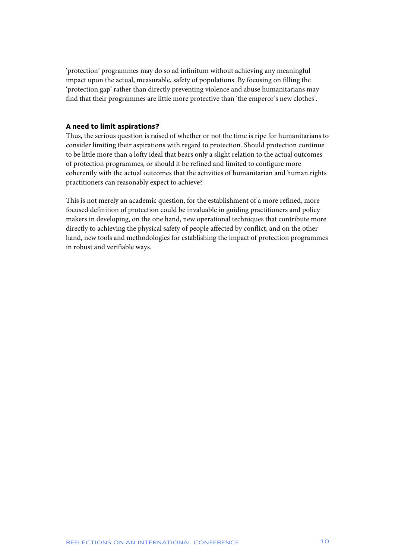'protection' programmes may do so ad infinitum without achieving any meaningful impact upon the actual, measurable, safety of populations. By focusing on filling the 'protection gap' rather than directly preventing violence and abuse humanitarians may find that their programmes are little more protective than 'the emperor's new clothes'.

### **A need to limit aspirations?**

Thus, the serious question is raised of whether or not the time is ripe for humanitarians to consider limiting their aspirations with regard to protection. Should protection continue to be little more than a lofty ideal that bears only a slight relation to the actual outcomes of protection programmes, or should it be refined and limited to configure more coherently with the actual outcomes that the activities of humanitarian and human rights practitioners can reasonably expect to achieve?

This is not merely an academic question, for the establishment of a more refined, more focused definition of protection could be invaluable in guiding practitioners and policy makers in developing, on the one hand, new operational techniques that contribute more directly to achieving the physical safety of people affected by conflict, and on the other hand, new tools and methodologies for establishing the impact of protection programmes in robust and verifiable ways.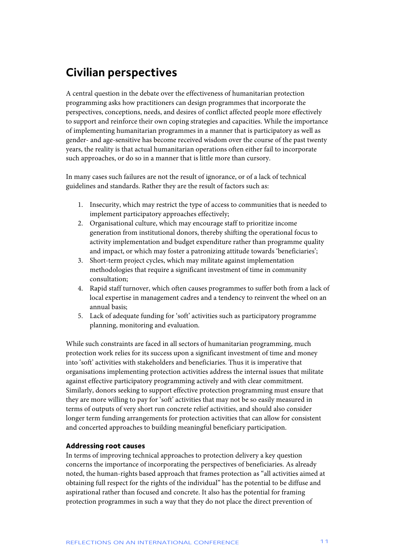## **Civilian perspectives**

A central question in the debate over the effectiveness of humanitarian protection programming asks how practitioners can design programmes that incorporate the perspectives, conceptions, needs, and desires of conflict affected people more effectively to support and reinforce their own coping strategies and capacities. While the importance of implementing humanitarian programmes in a manner that is participatory as well as gender- and age-sensitive has become received wisdom over the course of the past twenty years, the reality is that actual humanitarian operations often either fail to incorporate such approaches, or do so in a manner that is little more than cursory.

In many cases such failures are not the result of ignorance, or of a lack of technical guidelines and standards. Rather they are the result of factors such as:

- 1. Insecurity, which may restrict the type of access to communities that is needed to implement participatory approaches effectively;
- 2. Organisational culture, which may encourage staff to prioritize income generation from institutional donors, thereby shifting the operational focus to activity implementation and budget expenditure rather than programme quality and impact, or which may foster a patronizing attitude towards 'beneficiaries';
- 3. Short-term project cycles, which may militate against implementation methodologies that require a significant investment of time in community consultation;
- 4. Rapid staff turnover, which often causes programmes to suffer both from a lack of local expertise in management cadres and a tendency to reinvent the wheel on an annual basis;
- 5. Lack of adequate funding for 'soft' activities such as participatory programme planning, monitoring and evaluation.

While such constraints are faced in all sectors of humanitarian programming, much protection work relies for its success upon a significant investment of time and money into 'soft' activities with stakeholders and beneficiaries. Thus it is imperative that organisations implementing protection activities address the internal issues that militate against effective participatory programming actively and with clear commitment. Similarly, donors seeking to support effective protection programming must ensure that they are more willing to pay for 'soft' activities that may not be so easily measured in terms of outputs of very short run concrete relief activities, and should also consider longer term funding arrangements for protection activities that can allow for consistent and concerted approaches to building meaningful beneficiary participation.

### **Addressing root causes**

In terms of improving technical approaches to protection delivery a key question concerns the importance of incorporating the perspectives of beneficiaries. As already noted, the human-rights based approach that frames protection as "all activities aimed at obtaining full respect for the rights of the individual" has the potential to be diffuse and aspirational rather than focused and concrete. It also has the potential for framing protection programmes in such a way that they do not place the direct prevention of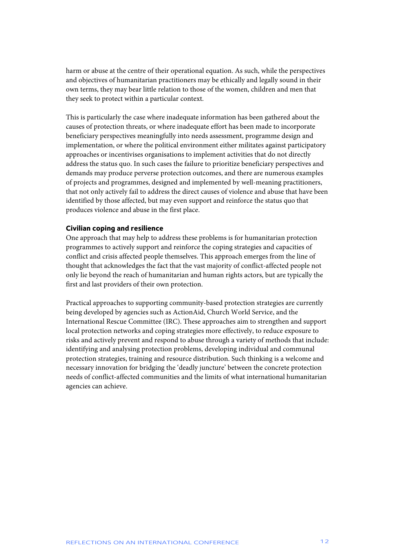harm or abuse at the centre of their operational equation. As such, while the perspectives and objectives of humanitarian practitioners may be ethically and legally sound in their own terms, they may bear little relation to those of the women, children and men that they seek to protect within a particular context.

This is particularly the case where inadequate information has been gathered about the causes of protection threats, or where inadequate effort has been made to incorporate beneficiary perspectives meaningfully into needs assessment, programme design and implementation, or where the political environment either militates against participatory approaches or incentivises organisations to implement activities that do not directly address the status quo. In such cases the failure to prioritize beneficiary perspectives and demands may produce perverse protection outcomes, and there are numerous examples of projects and programmes, designed and implemented by well-meaning practitioners, that not only actively fail to address the direct causes of violence and abuse that have been identified by those affected, but may even support and reinforce the status quo that produces violence and abuse in the first place.

### **Civilian coping and resilience**

One approach that may help to address these problems is for humanitarian protection programmes to actively support and reinforce the coping strategies and capacities of conflict and crisis affected people themselves. This approach emerges from the line of thought that acknowledges the fact that the vast majority of conflict-affected people not only lie beyond the reach of humanitarian and human rights actors, but are typically the first and last providers of their own protection.

Practical approaches to supporting community-based protection strategies are currently being developed by agencies such as ActionAid, Church World Service, and the International Rescue Committee (IRC). These approaches aim to strengthen and support local protection networks and coping strategies more effectively, to reduce exposure to risks and actively prevent and respond to abuse through a variety of methods that include: identifying and analysing protection problems, developing individual and communal protection strategies, training and resource distribution. Such thinking is a welcome and necessary innovation for bridging the 'deadly juncture' between the concrete protection needs of conflict-affected communities and the limits of what international humanitarian agencies can achieve.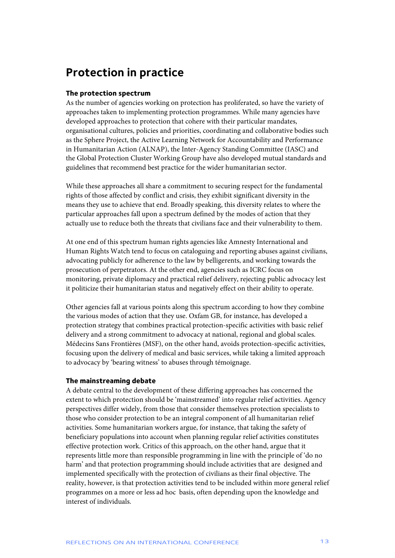### **Protection in practice**

### **The protection spectrum**

As the number of agencies working on protection has proliferated, so have the variety of approaches taken to implementing protection programmes. While many agencies have developed approaches to protection that cohere with their particular mandates, organisational cultures, policies and priorities, coordinating and collaborative bodies such as the Sphere Project, the Active Learning Network for Accountability and Performance in Humanitarian Action (ALNAP), the Inter-Agency Standing Committee (IASC) and the Global Protection Cluster Working Group have also developed mutual standards and guidelines that recommend best practice for the wider humanitarian sector.

While these approaches all share a commitment to securing respect for the fundamental rights of those affected by conflict and crisis, they exhibit significant diversity in the means they use to achieve that end. Broadly speaking, this diversity relates to where the particular approaches fall upon a spectrum defined by the modes of action that they actually use to reduce both the threats that civilians face and their vulnerability to them.

At one end of this spectrum human rights agencies like Amnesty International and Human Rights Watch tend to focus on cataloguing and reporting abuses against civilians, advocating publicly for adherence to the law by belligerents, and working towards the prosecution of perpetrators. At the other end, agencies such as ICRC focus on monitoring, private diplomacy and practical relief delivery, rejecting public advocacy lest it politicize their humanitarian status and negatively effect on their ability to operate.

Other agencies fall at various points along this spectrum according to how they combine the various modes of action that they use. Oxfam GB, for instance, has developed a protection strategy that combines practical protection-specific activities with basic relief delivery and a strong commitment to advocacy at national, regional and global scales. Médecins Sans Frontières (MSF), on the other hand, avoids protection-specific activities, focusing upon the delivery of medical and basic services, while taking a limited approach to advocacy by 'bearing witness' to abuses through témoignage.

#### **The mainstreaming debate**

A debate central to the development of these differing approaches has concerned the extent to which protection should be 'mainstreamed' into regular relief activities. Agency perspectives differ widely, from those that consider themselves protection specialists to those who consider protection to be an integral component of all humanitarian relief activities. Some humanitarian workers argue, for instance, that taking the safety of beneficiary populations into account when planning regular relief activities constitutes effective protection work. Critics of this approach, on the other hand, argue that it represents little more than responsible programming in line with the principle of 'do no harm' and that protection programming should include activities that are designed and implemented specifically with the protection of civilians as their final objective. The reality, however, is that protection activities tend to be included within more general relief programmes on a more or less ad hoc basis, often depending upon the knowledge and interest of individuals.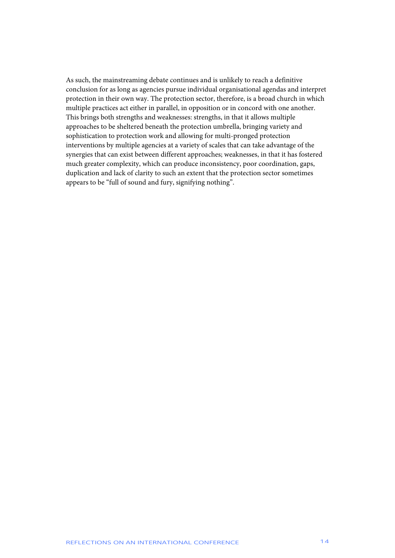As such, the mainstreaming debate continues and is unlikely to reach a definitive conclusion for as long as agencies pursue individual organisational agendas and interpret protection in their own way. The protection sector, therefore, is a broad church in which multiple practices act either in parallel, in opposition or in concord with one another. This brings both strengths and weaknesses: strengths, in that it allows multiple approaches to be sheltered beneath the protection umbrella, bringing variety and sophistication to protection work and allowing for multi-pronged protection interventions by multiple agencies at a variety of scales that can take advantage of the synergies that can exist between different approaches; weaknesses, in that it has fostered much greater complexity, which can produce inconsistency, poor coordination, gaps, duplication and lack of clarity to such an extent that the protection sector sometimes appears to be "full of sound and fury, signifying nothing".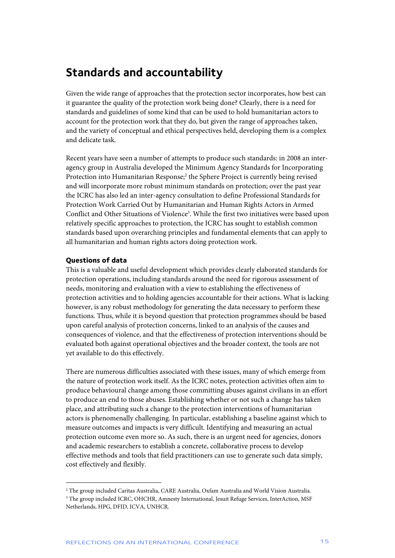### **Standards and accountability**

Given the wide range of approaches that the protection sector incorporates, how best can it guarantee the quality of the protection work being done? Clearly, there is a need for standards and guidelines of some kind that can be used to hold humanitarian actors to account for the protection work that they do, but given the range of approaches taken, and the variety of conceptual and ethical perspectives held, developing them is a complex and delicate task.

Recent years have seen a number of attempts to produce such standards: in 2008 an interagency group in Australia developed the Minimum Agency Standards for Incorporating Protection into Humanitarian Response;<sup>2</sup> the Sphere Project is currently being revised and will incorporate more robust minimum standards on protection; over the past year the ICRC has also led an inter-agency consultation to define Professional Standards for Protection Work Carried Out by Humanitarian and Human Rights Actors in Armed Conflict and Other Situations of Violence<sup>3</sup>. While the first two initiatives were based upon relatively specific approaches to protection, the ICRC has sought to establish common standards based upon overarching principles and fundamental elements that can apply to all humanitarian and human rights actors doing protection work.

### **Questions of data**

j

This is a valuable and useful development which provides clearly elaborated standards for protection operations, including standards around the need for rigorous assessment of needs, monitoring and evaluation with a view to establishing the effectiveness of protection activities and to holding agencies accountable for their actions. What is lacking however, is any robust methodology for generating the data necessary to perform these functions. Thus, while it is beyond question that protection programmes should be based upon careful analysis of protection concerns, linked to an analysis of the causes and consequences of violence, and that the effectiveness of protection interventions should be evaluated both against operational objectives and the broader context, the tools are not yet available to do this effectively.

There are numerous difficulties associated with these issues, many of which emerge from the nature of protection work itself. As the ICRC notes, protection activities often aim to produce behavioural change among those committing abuses against civilians in an effort to produce an end to those abuses. Establishing whether or not such a change has taken place, and attributing such a change to the protection interventions of humanitarian actors is phenomenally challenging. In particular, establishing a baseline against which to measure outcomes and impacts is very difficult. Identifying and measuring an actual protection outcome even more so. As such, there is an urgent need for agencies, donors and academic researchers to establish a concrete, collaborative process to develop effective methods and tools that field practitioners can use to generate such data simply, cost effectively and flexibly.

<sup>2</sup> The group included Caritas Australia, CARE Australia, Oxfam Australia and World Vision Australia. <sup>3</sup> The group included ICRC, OHCHR, Amnesty International, Jesuit Refuge Services, InterAction, MSF Netherlands, HPG, DFID, ICVA, UNHCR.